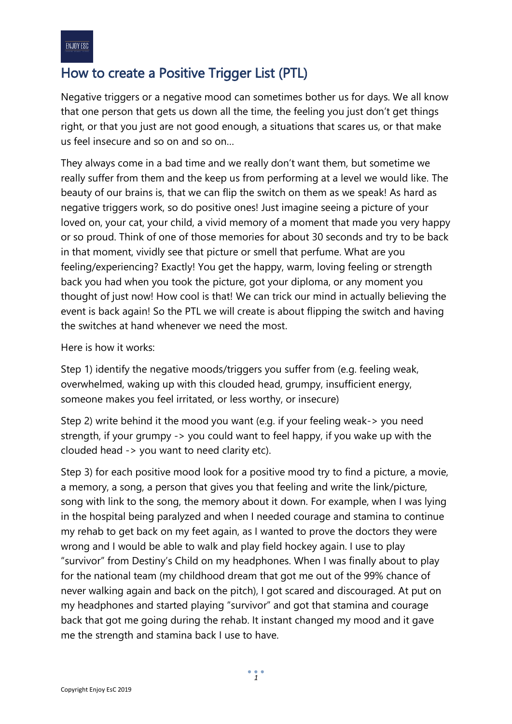## How to create a Positive Trigger List (PTL)

Negative triggers or a negative mood can sometimes bother us for days. We all know that one person that gets us down all the time, the feeling you just don't get things right, or that you just are not good enough, a situations that scares us, or that make us feel insecure and so on and so on…

They always come in a bad time and we really don't want them, but sometime we really suffer from them and the keep us from performing at a level we would like. The beauty of our brains is, that we can flip the switch on them as we speak! As hard as negative triggers work, so do positive ones! Just imagine seeing a picture of your loved on, your cat, your child, a vivid memory of a moment that made you very happy or so proud. Think of one of those memories for about 30 seconds and try to be back in that moment, vividly see that picture or smell that perfume. What are you feeling/experiencing? Exactly! You get the happy, warm, loving feeling or strength back you had when you took the picture, got your diploma, or any moment you thought of just now! How cool is that! We can trick our mind in actually believing the event is back again! So the PTL we will create is about flipping the switch and having the switches at hand whenever we need the most.

Here is how it works:

Step 1) identify the negative moods/triggers you suffer from (e.g. feeling weak, overwhelmed, waking up with this clouded head, grumpy, insufficient energy, someone makes you feel irritated, or less worthy, or insecure)

Step 2) write behind it the mood you want (e.g. if your feeling weak-> you need strength, if your grumpy -> you could want to feel happy, if you wake up with the clouded head -> you want to need clarity etc).

Step 3) for each positive mood look for a positive mood try to find a picture, a movie, a memory, a song, a person that gives you that feeling and write the link/picture, song with link to the song, the memory about it down. For example, when I was lying in the hospital being paralyzed and when I needed courage and stamina to continue my rehab to get back on my feet again, as I wanted to prove the doctors they were wrong and I would be able to walk and play field hockey again. I use to play "survivor" from Destiny's Child on my headphones. When I was finally about to play for the national team (my childhood dream that got me out of the 99% chance of never walking again and back on the pitch), I got scared and discouraged. At put on my headphones and started playing "survivor" and got that stamina and courage back that got me going during the rehab. It instant changed my mood and it gave me the strength and stamina back I use to have.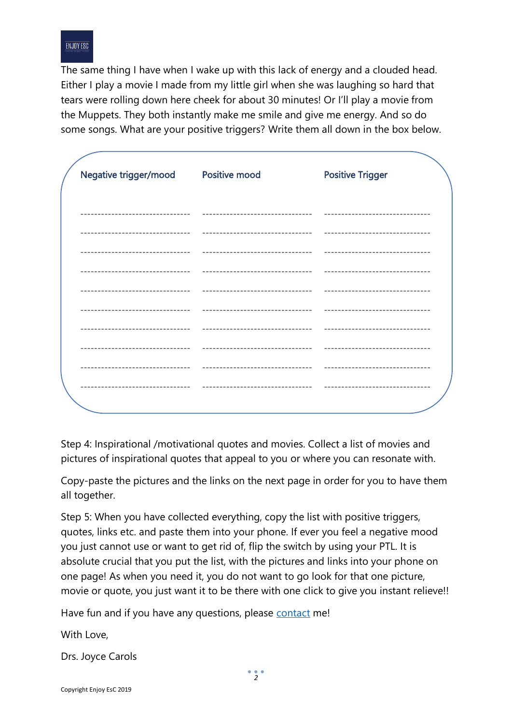

The same thing I have when I wake up with this lack of energy and a clouded head. Either I play a movie I made from my little girl when she was laughing so hard that tears were rolling down here cheek for about 30 minutes! Or I'll play a movie from the Muppets. They both instantly make me smile and give me energy. And so do some songs. What are your positive triggers? Write them all down in the box below.

| Negative trigger/mood | <b>Positive mood</b> | <b>Positive Trigger</b> |
|-----------------------|----------------------|-------------------------|
|                       |                      |                         |
|                       |                      |                         |
|                       |                      |                         |
|                       |                      |                         |
|                       |                      |                         |
|                       |                      |                         |
|                       |                      |                         |
|                       |                      |                         |
|                       |                      |                         |
|                       |                      |                         |
|                       |                      |                         |

Step 4: Inspirational /motivational quotes and movies. Collect a list of movies and pictures of inspirational quotes that appeal to you or where you can resonate with.

Copy-paste the pictures and the links on the next page in order for you to have them all together.

Step 5: When you have collected everything, copy the list with positive triggers, quotes, links etc. and paste them into your phone. If ever you feel a negative mood you just cannot use or want to get rid of, flip the switch by using your PTL. It is absolute crucial that you put the list, with the pictures and links into your phone on one page! As when you need it, you do not want to go look for that one picture, movie or quote, you just want it to be there with one click to give you instant relieve!!

Have fun and if you have any questions, please [contact](mailto:info@joycecarols.com?subject=re:%20How%20to%20make%20a%20PTL) me!

With Love,

Drs. Joyce Carols